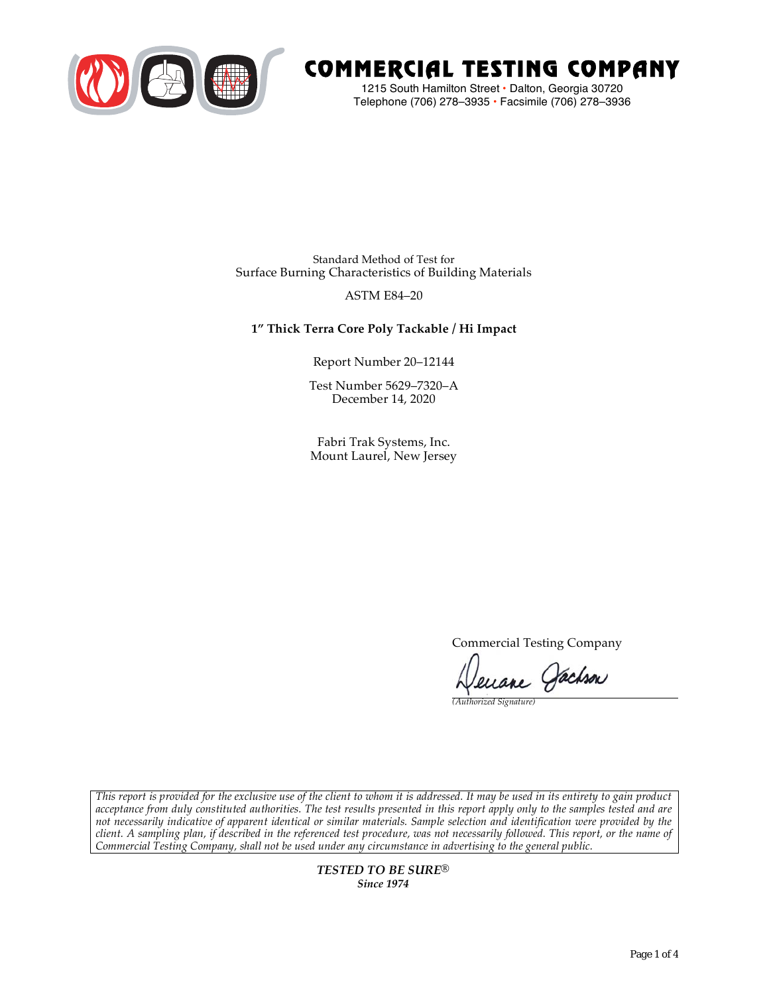

# COMMERCIAL TESTING COMPANY

1215 South Hamilton Street • Dalton, Georgia 30720 Telephone (706) 278–3935 **•** Facsimile (706) 278–3936

Standard Method of Test for Surface Burning Characteristics of Building Materials

### ASTM E84–20

# **1" Thick Terra Core Poly Tackable / Hi Impact**

Report Number 20–12144

Test Number 5629–7320–A December 14, 2020

Fabri Trak Systems, Inc. Mount Laurel, New Jersey

Commercial Testing Company

enane Jachson

*(Authorized Signature)* 

*This report is provided for the exclusive use of the client to whom it is addressed. It may be used in its entirety to gain product acceptance from duly constituted authorities. The test results presented in this report apply only to the samples tested and are not necessarily indicative of apparent identical or similar materials. Sample selection and identification were provided by the client. A sampling plan, if described in the referenced test procedure, was not necessarily followed. This report, or the name of Commercial Testing Company, shall not be used under any circumstance in advertising to the general public.* 

> *TESTED TO BE SURE® Since 1974*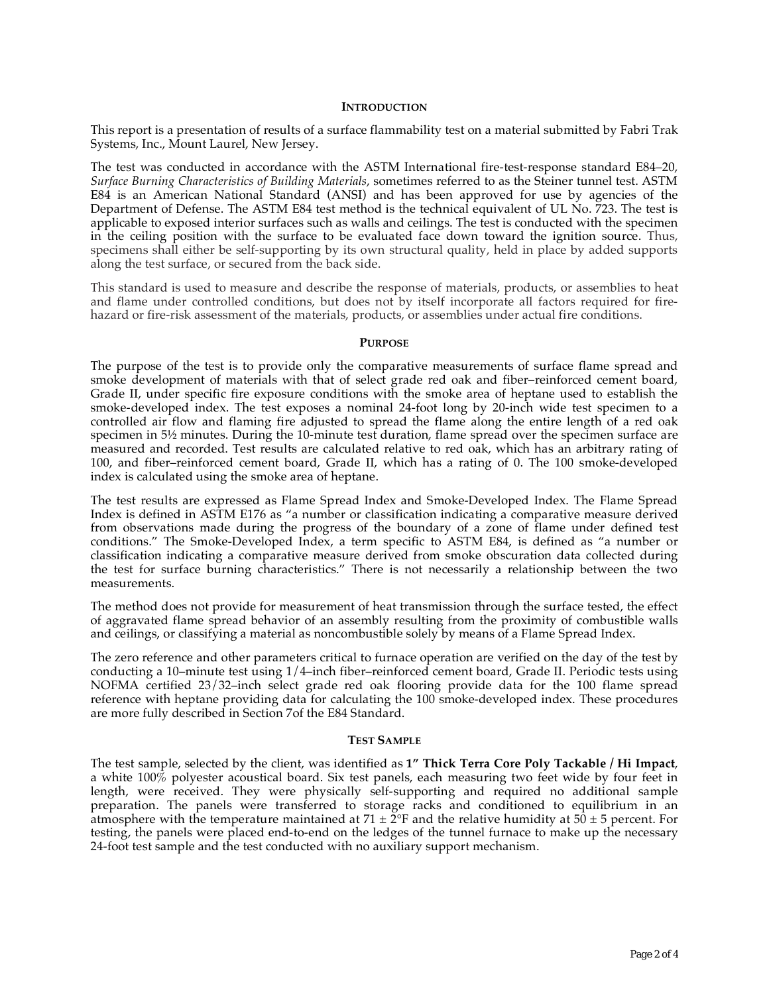#### **INTRODUCTION**

This report is a presentation of results of a surface flammability test on a material submitted by Fabri Trak Systems, Inc., Mount Laurel, New Jersey.

The test was conducted in accordance with the ASTM International fire-test-response standard E84–20, *Surface Burning Characteristics of Building Materials*, sometimes referred to as the Steiner tunnel test. ASTM E84 is an American National Standard (ANSI) and has been approved for use by agencies of the Department of Defense. The ASTM E84 test method is the technical equivalent of UL No. 723. The test is applicable to exposed interior surfaces such as walls and ceilings. The test is conducted with the specimen in the ceiling position with the surface to be evaluated face down toward the ignition source. Thus, specimens shall either be self-supporting by its own structural quality, held in place by added supports along the test surface, or secured from the back side.

This standard is used to measure and describe the response of materials, products, or assemblies to heat and flame under controlled conditions, but does not by itself incorporate all factors required for firehazard or fire-risk assessment of the materials, products, or assemblies under actual fire conditions.

#### **PURPOSE**

The purpose of the test is to provide only the comparative measurements of surface flame spread and smoke development of materials with that of select grade red oak and fiber–reinforced cement board, Grade II, under specific fire exposure conditions with the smoke area of heptane used to establish the smoke-developed index. The test exposes a nominal 24-foot long by 20-inch wide test specimen to a controlled air flow and flaming fire adjusted to spread the flame along the entire length of a red oak specimen in  $5\frac{1}{2}$  minutes. During the 10-minute test duration, flame spread over the specimen surface are measured and recorded. Test results are calculated relative to red oak, which has an arbitrary rating of 100, and fiber–reinforced cement board, Grade II, which has a rating of 0. The 100 smoke-developed index is calculated using the smoke area of heptane.

The test results are expressed as Flame Spread Index and Smoke-Developed Index. The Flame Spread Index is defined in ASTM E176 as "a number or classification indicating a comparative measure derived from observations made during the progress of the boundary of a zone of flame under defined test conditions." The Smoke-Developed Index, a term specific to ASTM E84, is defined as "a number or classification indicating a comparative measure derived from smoke obscuration data collected during the test for surface burning characteristics." There is not necessarily a relationship between the two measurements.

The method does not provide for measurement of heat transmission through the surface tested, the effect of aggravated flame spread behavior of an assembly resulting from the proximity of combustible walls and ceilings, or classifying a material as noncombustible solely by means of a Flame Spread Index.

The zero reference and other parameters critical to furnace operation are verified on the day of the test by conducting a 10–minute test using 1/4–inch fiber–reinforced cement board, Grade II. Periodic tests using NOFMA certified 23/32–inch select grade red oak flooring provide data for the 100 flame spread reference with heptane providing data for calculating the 100 smoke-developed index. These procedures are more fully described in Section 7of the E84 Standard.

#### **TEST SAMPLE**

The test sample, selected by the client, was identified as **1" Thick Terra Core Poly Tackable / Hi Impact**, a white 100% polyester acoustical board. Six test panels, each measuring two feet wide by four feet in length, were received. They were physically self-supporting and required no additional sample preparation. The panels were transferred to storage racks and conditioned to equilibrium in an atmosphere with the temperature maintained at  $71 \pm 2$ °F and the relative humidity at  $50 \pm 5$  percent. For testing, the panels were placed end-to-end on the ledges of the tunnel furnace to make up the necessary 24-foot test sample and the test conducted with no auxiliary support mechanism.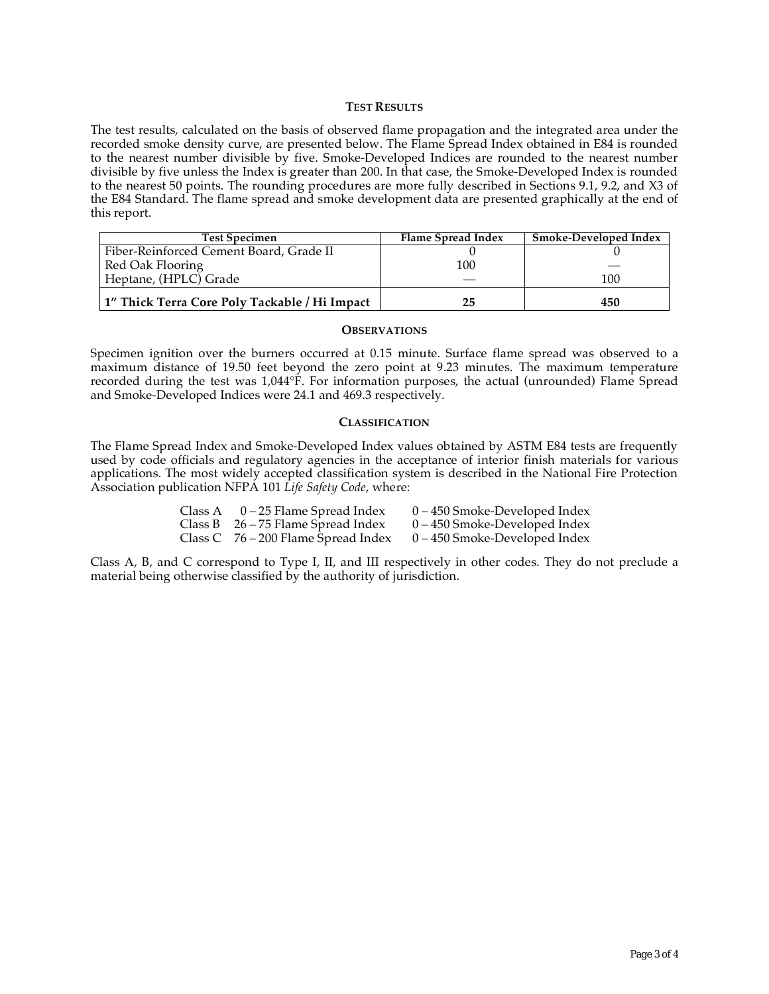#### **TEST RESULTS**

The test results, calculated on the basis of observed flame propagation and the integrated area under the recorded smoke density curve, are presented below. The Flame Spread Index obtained in E84 is rounded to the nearest number divisible by five. Smoke-Developed Indices are rounded to the nearest number divisible by five unless the Index is greater than 200. In that case, the Smoke-Developed Index is rounded to the nearest 50 points. The rounding procedures are more fully described in Sections 9.1, 9.2, and X3 of the E84 Standard. The flame spread and smoke development data are presented graphically at the end of this report.

| <b>Test Specimen</b>                          | Flame Spread Index | <b>Smoke-Developed Index</b> |
|-----------------------------------------------|--------------------|------------------------------|
| Fiber-Reinforced Cement Board, Grade II       |                    |                              |
| Red Oak Flooring                              | 100                |                              |
| Heptane, (HPLC) Grade                         |                    | 100                          |
| 1" Thick Terra Core Poly Tackable / Hi Impact | 25                 | 450                          |

#### **OBSERVATIONS**

Specimen ignition over the burners occurred at 0.15 minute. Surface flame spread was observed to a maximum distance of 19.50 feet beyond the zero point at 9.23 minutes. The maximum temperature recorded during the test was 1,044°F. For information purposes, the actual (unrounded) Flame Spread and Smoke-Developed Indices were 24.1 and 469.3 respectively.

#### **CLASSIFICATION**

The Flame Spread Index and Smoke-Developed Index values obtained by ASTM E84 tests are frequently used by code officials and regulatory agencies in the acceptance of interior finish materials for various applications. The most widely accepted classification system is described in the National Fire Protection Association publication NFPA 101 *Life Safety Code*, where:

| Class A $0-25$ Flame Spread Index     | $0 - 450$ Smoke-Developed Index |
|---------------------------------------|---------------------------------|
| Class B $26 - 75$ Flame Spread Index  | $0 - 450$ Smoke-Developed Index |
| Class C $76 - 200$ Flame Spread Index | $0 - 450$ Smoke-Developed Index |

Class A, B, and C correspond to Type I, II, and III respectively in other codes. They do not preclude a material being otherwise classified by the authority of jurisdiction.